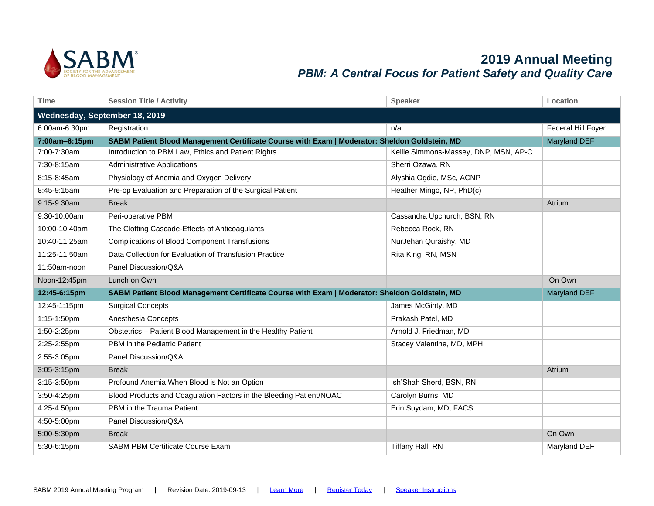

## **2019 Annual Meeting** *PBM: A Central Focus for Patient Safety and Quality Care*

| <b>Time</b>                   | <b>Session Title / Activity</b>                                                               | <b>Speaker</b>                        | Location           |
|-------------------------------|-----------------------------------------------------------------------------------------------|---------------------------------------|--------------------|
| Wednesday, September 18, 2019 |                                                                                               |                                       |                    |
| 6:00am-6:30pm                 | Registration                                                                                  | n/a                                   | Federal Hill Foyer |
| 7:00am-6:15pm                 | SABM Patient Blood Management Certificate Course with Exam   Moderator: Sheldon Goldstein, MD |                                       | Maryland DEF       |
| 7:00-7:30am                   | Introduction to PBM Law, Ethics and Patient Rights                                            | Kellie Simmons-Massey, DNP, MSN, AP-C |                    |
| 7:30-8:15am                   | <b>Administrative Applications</b>                                                            | Sherri Ozawa, RN                      |                    |
| 8:15-8:45am                   | Physiology of Anemia and Oxygen Delivery                                                      | Alyshia Ogdie, MSc, ACNP              |                    |
| 8:45-9:15am                   | Pre-op Evaluation and Preparation of the Surgical Patient                                     | Heather Mingo, NP, PhD(c)             |                    |
| 9:15-9:30am                   | <b>Break</b>                                                                                  |                                       | Atrium             |
| 9:30-10:00am                  | Peri-operative PBM                                                                            | Cassandra Upchurch, BSN, RN           |                    |
| 10:00-10:40am                 | The Clotting Cascade-Effects of Anticoagulants                                                | Rebecca Rock, RN                      |                    |
| 10:40-11:25am                 | <b>Complications of Blood Component Transfusions</b>                                          | NurJehan Quraishy, MD                 |                    |
| 11:25-11:50am                 | Data Collection for Evaluation of Transfusion Practice                                        | Rita King, RN, MSN                    |                    |
| 11:50am-noon                  | Panel Discussion/Q&A                                                                          |                                       |                    |
|                               |                                                                                               |                                       |                    |
| Noon-12:45pm                  | Lunch on Own                                                                                  |                                       | On Own             |
| 12:45-6:15pm                  | SABM Patient Blood Management Certificate Course with Exam   Moderator: Sheldon Goldstein, MD |                                       | Maryland DEF       |
| 12:45-1:15pm                  | <b>Surgical Concepts</b>                                                                      | James McGinty, MD                     |                    |
| 1:15-1:50pm                   | Anesthesia Concepts                                                                           | Prakash Patel, MD                     |                    |
| 1:50-2:25pm                   | Obstetrics - Patient Blood Management in the Healthy Patient                                  | Arnold J. Friedman, MD                |                    |
| 2:25-2:55pm                   | PBM in the Pediatric Patient                                                                  | Stacey Valentine, MD, MPH             |                    |
| 2:55-3:05pm                   | Panel Discussion/Q&A                                                                          |                                       |                    |
| 3:05-3:15pm                   | <b>Break</b>                                                                                  |                                       | Atrium             |
| 3:15-3:50pm                   | Profound Anemia When Blood is Not an Option                                                   | Ish'Shah Sherd, BSN, RN               |                    |
| 3:50-4:25pm                   | Blood Products and Coagulation Factors in the Bleeding Patient/NOAC                           | Carolyn Burns, MD                     |                    |
| 4:25-4:50pm                   | PBM in the Trauma Patient                                                                     | Erin Suydam, MD, FACS                 |                    |
| 4:50-5:00pm                   | Panel Discussion/Q&A                                                                          |                                       |                    |
| 5:00-5:30pm                   | <b>Break</b>                                                                                  |                                       | On Own             |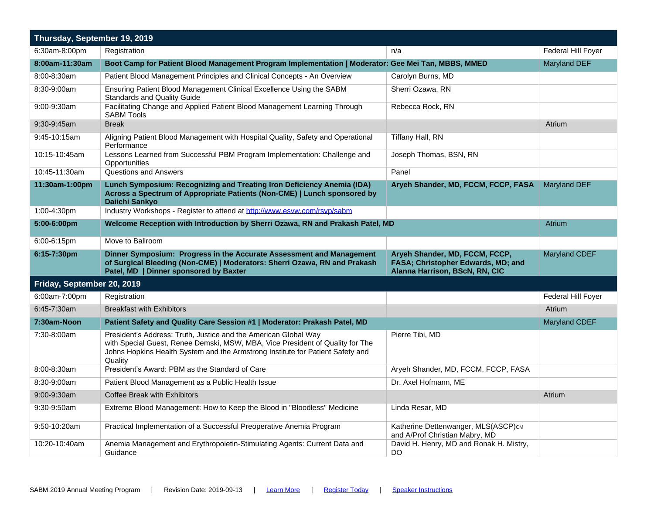| Thursday, September 19, 2019 |                                                                                                                                                                                                                                               |                                                                                                        |                      |
|------------------------------|-----------------------------------------------------------------------------------------------------------------------------------------------------------------------------------------------------------------------------------------------|--------------------------------------------------------------------------------------------------------|----------------------|
| 6:30am-8:00pm                | Registration                                                                                                                                                                                                                                  | n/a                                                                                                    | Federal Hill Foyer   |
| 8:00am-11:30am               | Boot Camp for Patient Blood Management Program Implementation   Moderator: Gee Mei Tan, MBBS, MMED                                                                                                                                            |                                                                                                        | <b>Maryland DEF</b>  |
| 8:00-8:30am                  | Patient Blood Management Principles and Clinical Concepts - An Overview                                                                                                                                                                       | Carolyn Burns, MD                                                                                      |                      |
| 8:30-9:00am                  | Ensuring Patient Blood Management Clinical Excellence Using the SABM<br><b>Standards and Quality Guide</b>                                                                                                                                    | Sherri Ozawa, RN                                                                                       |                      |
| 9:00-9:30am                  | Facilitating Change and Applied Patient Blood Management Learning Through<br><b>SABM Tools</b>                                                                                                                                                | Rebecca Rock, RN                                                                                       |                      |
| 9:30-9:45am                  | <b>Break</b>                                                                                                                                                                                                                                  |                                                                                                        | Atrium               |
| 9:45-10:15am                 | Aligning Patient Blood Management with Hospital Quality, Safety and Operational<br>Performance                                                                                                                                                | Tiffany Hall, RN                                                                                       |                      |
| 10:15-10:45am                | Lessons Learned from Successful PBM Program Implementation: Challenge and<br>Opportunities                                                                                                                                                    | Joseph Thomas, BSN, RN                                                                                 |                      |
| 10:45-11:30am                | <b>Questions and Answers</b>                                                                                                                                                                                                                  | Panel                                                                                                  |                      |
| 11:30am-1:00pm               | Lunch Symposium: Recognizing and Treating Iron Deficiency Anemia (IDA)<br>Across a Spectrum of Appropriate Patients (Non-CME)   Lunch sponsored by<br>Daiichi Sankyo                                                                          | Aryeh Shander, MD, FCCM, FCCP, FASA                                                                    | <b>Maryland DEF</b>  |
| 1:00-4:30pm                  | Industry Workshops - Register to attend at http://www.esvw.com/rsvp/sabm                                                                                                                                                                      |                                                                                                        |                      |
| 5:00-6:00pm                  | Welcome Reception with Introduction by Sherri Ozawa, RN and Prakash Patel, MD                                                                                                                                                                 |                                                                                                        | Atrium               |
| 6:00-6:15pm                  | Move to Ballroom                                                                                                                                                                                                                              |                                                                                                        |                      |
| 6:15-7:30pm                  | Dinner Symposium: Progress in the Accurate Assessment and Management<br>of Surgical Bleeding (Non-CME)   Moderators: Sherri Ozawa, RN and Prakash<br>Patel, MD   Dinner sponsored by Baxter                                                   | Aryeh Shander, MD, FCCM, FCCP,<br>FASA; Christopher Edwards, MD; and<br>Alanna Harrison, BScN, RN, CIC | <b>Maryland CDEF</b> |
| Friday, September 20, 2019   |                                                                                                                                                                                                                                               |                                                                                                        |                      |
| 6:00am-7:00pm                | Registration                                                                                                                                                                                                                                  |                                                                                                        | Federal Hill Foyer   |
| 6:45-7:30am                  | <b>Breakfast with Exhibitors</b>                                                                                                                                                                                                              |                                                                                                        | Atrium               |
| 7:30am-Noon                  | Patient Safety and Quality Care Session #1   Moderator: Prakash Patel, MD                                                                                                                                                                     |                                                                                                        | <b>Maryland CDEF</b> |
| 7:30-8:00am                  | President's Address: Truth, Justice and the American Global Way<br>with Special Guest, Renee Demski, MSW, MBA, Vice President of Quality for The<br>Johns Hopkins Health System and the Armstrong Institute for Patient Safety and<br>Quality | Pierre Tibi, MD                                                                                        |                      |
| 8:00-8:30am                  | President's Award: PBM as the Standard of Care                                                                                                                                                                                                | Aryeh Shander, MD, FCCM, FCCP, FASA                                                                    |                      |
| 8:30-9:00am                  | Patient Blood Management as a Public Health Issue                                                                                                                                                                                             | Dr. Axel Hofmann, ME                                                                                   |                      |
| $9:00 - 9:30$ am             | Coffee Break with Exhibitors                                                                                                                                                                                                                  |                                                                                                        | Atrium               |
| 9:30-9:50am                  | Extreme Blood Management: How to Keep the Blood in "Bloodless" Medicine                                                                                                                                                                       | Linda Resar, MD                                                                                        |                      |
| 9:50-10:20am                 | Practical Implementation of a Successful Preoperative Anemia Program                                                                                                                                                                          | Katherine Dettenwanger, MLS(ASCP)см<br>and A/Prof Christian Mabry, MD                                  |                      |
| 10:20-10:40am                | Anemia Management and Erythropoietin-Stimulating Agents: Current Data and<br>Guidance                                                                                                                                                         | David H. Henry, MD and Ronak H. Mistry,<br><b>DO</b>                                                   |                      |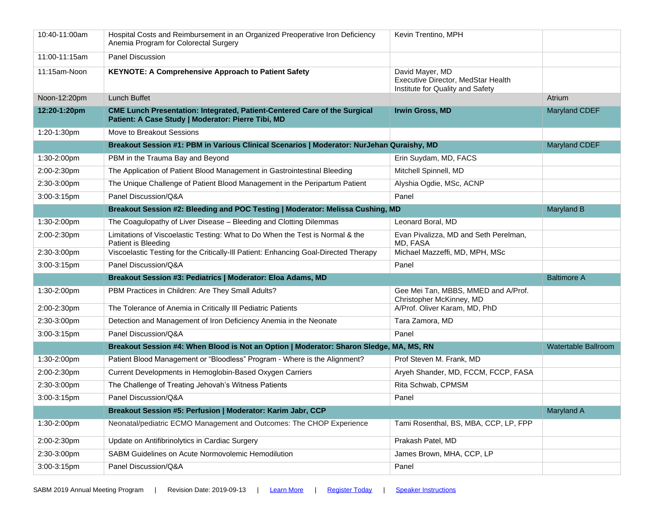| 10:40-11:00am | Hospital Costs and Reimbursement in an Organized Preoperative Iron Deficiency<br>Anemia Program for Colorectal Surgery                 | Kevin Trentino, MPH                                                                       |                            |
|---------------|----------------------------------------------------------------------------------------------------------------------------------------|-------------------------------------------------------------------------------------------|----------------------------|
| 11:00-11:15am | Panel Discussion                                                                                                                       |                                                                                           |                            |
| 11:15am-Noon  | <b>KEYNOTE: A Comprehensive Approach to Patient Safety</b>                                                                             | David Mayer, MD<br>Executive Director, MedStar Health<br>Institute for Quality and Safety |                            |
| Noon-12:20pm  | <b>Lunch Buffet</b>                                                                                                                    |                                                                                           | Atrium                     |
| 12:20-1:20pm  | <b>CME Lunch Presentation: Integrated, Patient-Centered Care of the Surgical</b><br>Patient: A Case Study   Moderator: Pierre Tibi, MD | <b>Irwin Gross, MD</b>                                                                    | <b>Maryland CDEF</b>       |
| 1:20-1:30pm   | Move to Breakout Sessions                                                                                                              |                                                                                           |                            |
|               | Breakout Session #1: PBM in Various Clinical Scenarios   Moderator: NurJehan Quraishy, MD                                              |                                                                                           | <b>Maryland CDEF</b>       |
| 1:30-2:00pm   | PBM in the Trauma Bay and Beyond                                                                                                       | Erin Suydam, MD, FACS                                                                     |                            |
| 2:00-2:30pm   | The Application of Patient Blood Management in Gastrointestinal Bleeding                                                               | Mitchell Spinnell, MD                                                                     |                            |
| 2:30-3:00pm   | The Unique Challenge of Patient Blood Management in the Peripartum Patient                                                             | Alyshia Ogdie, MSc, ACNP                                                                  |                            |
| 3:00-3:15pm   | Panel Discussion/Q&A                                                                                                                   | Panel                                                                                     |                            |
|               | Breakout Session #2: Bleeding and POC Testing   Moderator: Melissa Cushing, MD                                                         |                                                                                           | <b>Maryland B</b>          |
| 1:30-2:00pm   | The Coagulopathy of Liver Disease - Bleeding and Clotting Dilemmas                                                                     | Leonard Boral, MD                                                                         |                            |
| 2:00-2:30pm   | Limitations of Viscoelastic Testing: What to Do When the Test is Normal & the<br>Patient is Bleeding                                   | Evan Pivalizza, MD and Seth Perelman,<br>MD, FASA                                         |                            |
| 2:30-3:00pm   | Viscoelastic Testing for the Critically-III Patient: Enhancing Goal-Directed Therapy                                                   | Michael Mazzeffi, MD, MPH, MSc                                                            |                            |
|               |                                                                                                                                        |                                                                                           |                            |
| 3:00-3:15pm   | Panel Discussion/Q&A                                                                                                                   | Panel                                                                                     |                            |
|               | Breakout Session #3: Pediatrics   Moderator: Eloa Adams, MD                                                                            |                                                                                           | <b>Baltimore A</b>         |
| 1:30-2:00pm   | PBM Practices in Children: Are They Small Adults?                                                                                      | Gee Mei Tan, MBBS, MMED and A/Prof.<br>Christopher McKinney, MD                           |                            |
| 2:00-2:30pm   | The Tolerance of Anemia in Critically III Pediatric Patients                                                                           | A/Prof. Oliver Karam, MD, PhD                                                             |                            |
| 2:30-3:00pm   | Detection and Management of Iron Deficiency Anemia in the Neonate                                                                      | Tara Zamora, MD                                                                           |                            |
| 3:00-3:15pm   | Panel Discussion/Q&A                                                                                                                   | Panel                                                                                     |                            |
|               | Breakout Session #4: When Blood is Not an Option   Moderator: Sharon Sledge, MA, MS, RN                                                |                                                                                           | <b>Watertable Ballroom</b> |
| 1:30-2:00pm   | Patient Blood Management or "Bloodless" Program - Where is the Alignment?                                                              | Prof Steven M. Frank, MD                                                                  |                            |
| 2:00-2:30pm   | Current Developments in Hemoglobin-Based Oxygen Carriers                                                                               | Aryeh Shander, MD, FCCM, FCCP, FASA                                                       |                            |
| 2:30-3:00pm   | The Challenge of Treating Jehovah's Witness Patients                                                                                   | Rita Schwab, CPMSM                                                                        |                            |
| 3:00-3:15pm   | Panel Discussion/Q&A                                                                                                                   | Panel                                                                                     |                            |
|               | Breakout Session #5: Perfusion   Moderator: Karim Jabr, CCP                                                                            |                                                                                           | Maryland A                 |
| 1:30-2:00pm   | Neonatal/pediatric ECMO Management and Outcomes: The CHOP Experience                                                                   | Tami Rosenthal, BS, MBA, CCP, LP, FPP                                                     |                            |
| 2:00-2:30pm   | Update on Antifibrinolytics in Cardiac Surgery                                                                                         | Prakash Patel, MD                                                                         |                            |
| 2:30-3:00pm   | SABM Guidelines on Acute Normovolemic Hemodilution                                                                                     | James Brown, MHA, CCP, LP                                                                 |                            |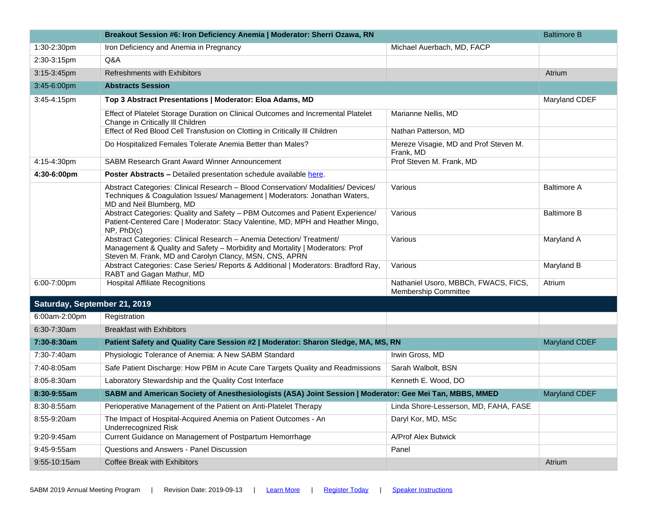|                              | Breakout Session #6: Iron Deficiency Anemia   Moderator: Sherri Ozawa, RN                                                                                                                                       |                                                              | <b>Baltimore B</b>   |
|------------------------------|-----------------------------------------------------------------------------------------------------------------------------------------------------------------------------------------------------------------|--------------------------------------------------------------|----------------------|
| 1:30-2:30pm                  | Iron Deficiency and Anemia in Pregnancy                                                                                                                                                                         | Michael Auerbach, MD, FACP                                   |                      |
| 2:30-3:15pm                  | Q&A                                                                                                                                                                                                             |                                                              |                      |
| 3:15-3:45pm                  | Refreshments with Exhibitors                                                                                                                                                                                    |                                                              | Atrium               |
| 3:45-6:00pm                  | <b>Abstracts Session</b>                                                                                                                                                                                        |                                                              |                      |
| 3:45-4:15pm                  | Top 3 Abstract Presentations   Moderator: Eloa Adams, MD                                                                                                                                                        |                                                              | Maryland CDEF        |
|                              | Effect of Platelet Storage Duration on Clinical Outcomes and Incremental Platelet<br>Change in Critically III Children                                                                                          | Marianne Nellis, MD                                          |                      |
|                              | Effect of Red Blood Cell Transfusion on Clotting in Critically III Children                                                                                                                                     | Nathan Patterson, MD                                         |                      |
|                              | Do Hospitalized Females Tolerate Anemia Better than Males?                                                                                                                                                      | Mereze Visagie, MD and Prof Steven M.<br>Frank, MD           |                      |
| 4:15-4:30pm                  | <b>SABM Research Grant Award Winner Announcement</b>                                                                                                                                                            | Prof Steven M. Frank, MD                                     |                      |
| 4:30-6:00pm                  | Poster Abstracts - Detailed presentation schedule available here.                                                                                                                                               |                                                              |                      |
|                              | Abstract Categories: Clinical Research - Blood Conservation/ Modalities/ Devices/<br>Techniques & Coagulation Issues/ Management   Moderators: Jonathan Waters,<br>MD and Neil Blumberg, MD                     | Various                                                      | <b>Baltimore A</b>   |
|                              | Abstract Categories: Quality and Safety - PBM Outcomes and Patient Experience/<br>Patient-Centered Care   Moderator: Stacy Valentine, MD, MPH and Heather Mingo,<br>$NP$ , $PhD(c)$                             | Various                                                      | <b>Baltimore B</b>   |
|                              | Abstract Categories: Clinical Research - Anemia Detection/ Treatment/<br>Management & Quality and Safety - Morbidity and Mortality   Moderators: Prof<br>Steven M. Frank, MD and Carolyn Clancy, MSN, CNS, APRN | Various                                                      | Maryland A           |
|                              | Abstract Categories: Case Series/ Reports & Additional   Moderators: Bradford Ray,<br>RABT and Gagan Mathur, MD                                                                                                 | Various                                                      | Maryland B           |
| 6:00-7:00pm                  | <b>Hospital Affiliate Recognitions</b>                                                                                                                                                                          | Nathaniel Usoro, MBBCh, FWACS, FICS,<br>Membership Committee | Atrium               |
| Saturday, September 21, 2019 |                                                                                                                                                                                                                 |                                                              |                      |
| 6:00am-2:00pm                | Registration                                                                                                                                                                                                    |                                                              |                      |
| 6:30-7:30am                  | <b>Breakfast with Exhibitors</b>                                                                                                                                                                                |                                                              |                      |
| 7:30-8:30am                  | Patient Safety and Quality Care Session #2   Moderator: Sharon Sledge, MA, MS, RN                                                                                                                               |                                                              | <b>Maryland CDEF</b> |
| 7:30-7:40am                  | Physiologic Tolerance of Anemia: A New SABM Standard                                                                                                                                                            | Irwin Gross, MD                                              |                      |
| 7:40-8:05am                  | Safe Patient Discharge: How PBM in Acute Care Targets Quality and Readmissions                                                                                                                                  | Sarah Walbolt, BSN                                           |                      |
| 8:05-8:30am                  | Laboratory Stewardship and the Quality Cost Interface                                                                                                                                                           | Kenneth E. Wood, DO                                          |                      |
| 8:30-9:55am                  | SABM and American Society of Anesthesiologists (ASA) Joint Session   Moderator: Gee Mei Tan, MBBS, MMED                                                                                                         |                                                              | <b>Maryland CDEF</b> |
| 8:30-8:55am                  | Perioperative Management of the Patient on Anti-Platelet Therapy                                                                                                                                                | Linda Shore-Lesserson, MD, FAHA, FASE                        |                      |
| 8:55-9:20am                  | The Impact of Hospital-Acquired Anemia on Patient Outcomes - An<br><b>Underrecognized Risk</b>                                                                                                                  | Daryl Kor, MD, MSc                                           |                      |
| 9:20-9:45am                  | Current Guidance on Management of Postpartum Hemorrhage                                                                                                                                                         | A/Prof Alex Butwick                                          |                      |
| 9:45-9:55am                  | Questions and Answers - Panel Discussion                                                                                                                                                                        | Panel                                                        |                      |
| 9:55-10:15am                 | Coffee Break with Exhibitors                                                                                                                                                                                    |                                                              | Atrium               |